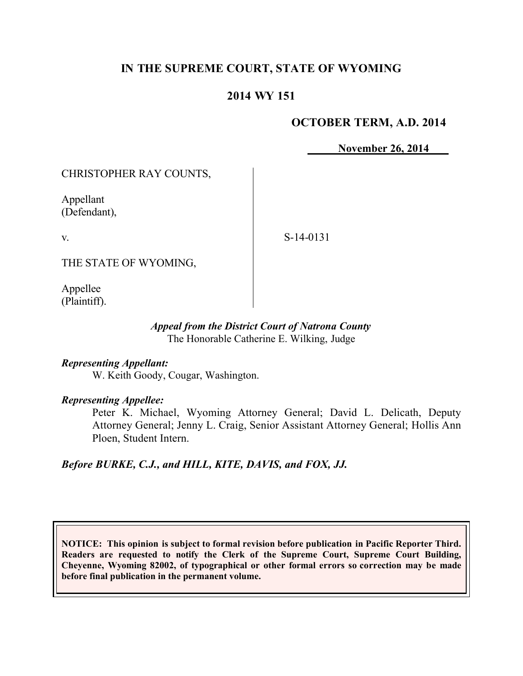# **IN THE SUPREME COURT, STATE OF WYOMING**

## **2014 WY 151**

## **OCTOBER TERM, A.D. 2014**

**November 26, 2014** 

CHRISTOPHER RAY COUNTS,

Appellant (Defendant),

v.

S-14-0131

THE STATE OF WYOMING,

Appellee (Plaintiff).

### *Appeal from the District Court of Natrona County* The Honorable Catherine E. Wilking, Judge

### *Representing Appellant:*

W. Keith Goody, Cougar, Washington.

#### *Representing Appellee:*

Peter K. Michael, Wyoming Attorney General; David L. Delicath, Deputy Attorney General; Jenny L. Craig, Senior Assistant Attorney General; Hollis Ann Ploen, Student Intern.

*Before BURKE, C.J., and HILL, KITE, DAVIS, and FOX, JJ.*

**NOTICE: This opinion is subject to formal revision before publication in Pacific Reporter Third. Readers are requested to notify the Clerk of the Supreme Court, Supreme Court Building, Cheyenne, Wyoming 82002, of typographical or other formal errors so correction may be made before final publication in the permanent volume.**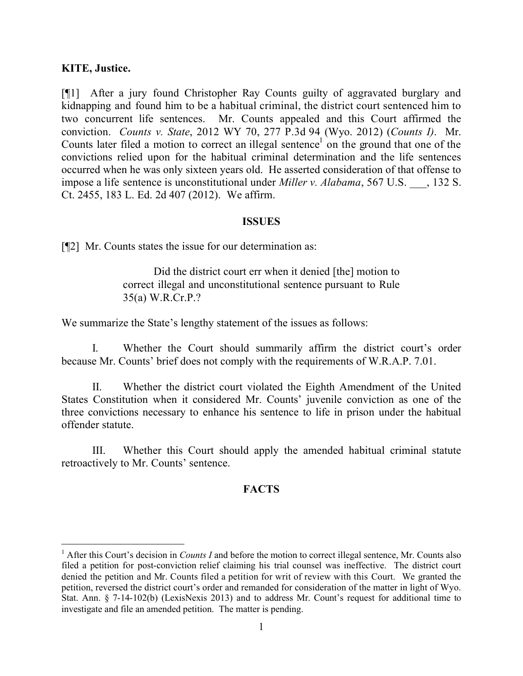### **KITE, Justice.**

 $\overline{a}$ 

[¶1] After a jury found Christopher Ray Counts guilty of aggravated burglary and kidnapping and found him to be a habitual criminal, the district court sentenced him to two concurrent life sentences. Mr. Counts appealed and this Court affirmed the conviction. *Counts v. State*, 2012 WY 70, 277 P.3d 94 (Wyo. 2012) (*Counts I)*. Mr. Counts later filed a motion to correct an illegal sentence<sup>1</sup> on the ground that one of the convictions relied upon for the habitual criminal determination and the life sentences occurred when he was only sixteen years old. He asserted consideration of that offense to impose a life sentence is unconstitutional under *Miller v. Alabama*, 567 U.S. \_\_\_, 132 S. Ct. 2455, 183 L. Ed. 2d 407 (2012). We affirm.

### **ISSUES**

[¶2] Mr. Counts states the issue for our determination as:

Did the district court err when it denied [the] motion to correct illegal and unconstitutional sentence pursuant to Rule 35(a) W.R.Cr.P.?

We summarize the State's lengthy statement of the issues as follows:

I. Whether the Court should summarily affirm the district court's order because Mr. Counts' brief does not comply with the requirements of W.R.A.P. 7.01.

II. Whether the district court violated the Eighth Amendment of the United States Constitution when it considered Mr. Counts' juvenile conviction as one of the three convictions necessary to enhance his sentence to life in prison under the habitual offender statute.

III. Whether this Court should apply the amended habitual criminal statute retroactively to Mr. Counts' sentence.

## **FACTS**

<sup>&</sup>lt;sup>1</sup> After this Court's decision in *Counts I* and before the motion to correct illegal sentence, Mr. Counts also filed a petition for post-conviction relief claiming his trial counsel was ineffective. The district court denied the petition and Mr. Counts filed a petition for writ of review with this Court. We granted the petition, reversed the district court's order and remanded for consideration of the matter in light of Wyo. Stat. Ann. § 7-14-102(b) (LexisNexis 2013) and to address Mr. Count's request for additional time to investigate and file an amended petition. The matter is pending.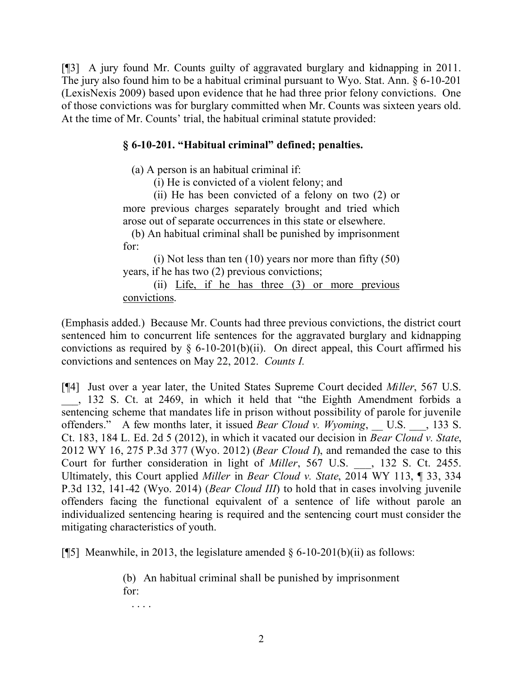[¶3] A jury found Mr. Counts guilty of aggravated burglary and kidnapping in 2011. The jury also found him to be a habitual criminal pursuant to Wyo. Stat. Ann. § 6-10-201 (LexisNexis 2009) based upon evidence that he had three prior felony convictions. One of those convictions was for burglary committed when Mr. Counts was sixteen years old. At the time of Mr. Counts' trial, the habitual criminal statute provided:

## **§ 6-10-201. "Habitual criminal" defined; penalties.**

(a) A person is an habitual criminal if:

(i) He is convicted of a violent felony; and

(ii) He has been convicted of a felony on two (2) or more previous charges separately brought and tried which arose out of separate occurrences in this state or elsewhere.

 (b) An habitual criminal shall be punished by imprisonment for:

(i) Not less than ten (10) years nor more than fifty (50) years, if he has two (2) previous convictions;

(ii) Life, if he has three (3) or more previous convictions.

(Emphasis added.) Because Mr. Counts had three previous convictions, the district court sentenced him to concurrent life sentences for the aggravated burglary and kidnapping convictions as required by  $\delta$  6-10-201(b)(ii). On direct appeal, this Court affirmed his convictions and sentences on May 22, 2012. *Counts I.*

[¶4] Just over a year later, the United States Supreme Court decided *Miller*, 567 U.S. \_\_\_, 132 S. Ct. at 2469, in which it held that "the Eighth Amendment forbids a sentencing scheme that mandates life in prison without possibility of parole for juvenile offenders." A few months later, it issued *Bear Cloud v. Wyoming*, U.S. , 133 S. Ct. 183, 184 L. Ed. 2d 5 (2012), in which it vacated our decision in *Bear Cloud v. State*, 2012 WY 16, 275 P.3d 377 (Wyo. 2012) (*Bear Cloud I*), and remanded the case to this Court for further consideration in light of *Miller*, 567 U.S. \_\_\_, 132 S. Ct. 2455. Ultimately, this Court applied *Miller* in *Bear Cloud v. State*, 2014 WY 113, ¶ 33, 334 P.3d 132, 141-42 (Wyo. 2014) (*Bear Cloud III*) to hold that in cases involving juvenile offenders facing the functional equivalent of a sentence of life without parole an individualized sentencing hearing is required and the sentencing court must consider the mitigating characteristics of youth.

[¶5]Meanwhile, in 2013, the legislature amended § 6-10-201(b)(ii) as follows:

(b) An habitual criminal shall be punished by imprisonment for:

. . . .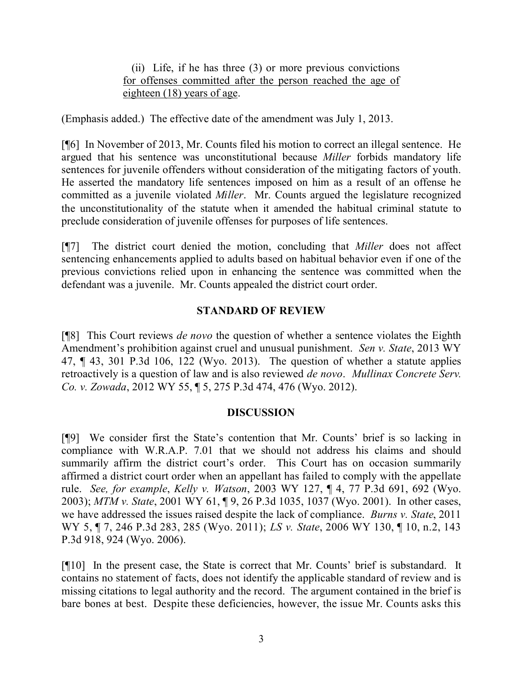(ii) Life, if he has three (3) or more previous convictions for offenses committed after the person reached the age of eighteen (18) years of age.

(Emphasis added.) The effective date of the amendment was July 1, 2013.

[¶6] In November of 2013, Mr. Counts filed his motion to correct an illegal sentence. He argued that his sentence was unconstitutional because *Miller* forbids mandatory life sentences for juvenile offenders without consideration of the mitigating factors of youth. He asserted the mandatory life sentences imposed on him as a result of an offense he committed as a juvenile violated *Miller*. Mr. Counts argued the legislature recognized the unconstitutionality of the statute when it amended the habitual criminal statute to preclude consideration of juvenile offenses for purposes of life sentences.

[¶7] The district court denied the motion, concluding that *Miller* does not affect sentencing enhancements applied to adults based on habitual behavior even if one of the previous convictions relied upon in enhancing the sentence was committed when the defendant was a juvenile. Mr. Counts appealed the district court order.

## **STANDARD OF REVIEW**

[¶8] This Court reviews *de novo* the question of whether a sentence violates the Eighth Amendment's prohibition against cruel and unusual punishment. *Sen v. State*, 2013 WY 47, ¶ 43, 301 P.3d 106, 122 (Wyo. 2013). The question of whether a statute applies retroactively is a question of law and is also reviewed *de novo*. *Mullinax Concrete Serv. Co. v. Zowada*, 2012 WY 55, ¶ 5, 275 P.3d 474, 476 (Wyo. 2012).

## **DISCUSSION**

[¶9] We consider first the State's contention that Mr. Counts' brief is so lacking in compliance with W.R.A.P. 7.01 that we should not address his claims and should summarily affirm the district court's order. This Court has on occasion summarily affirmed a district court order when an appellant has failed to comply with the appellate rule. *See, for example*, *Kelly v. Watson*, 2003 WY 127, ¶ 4, 77 P.3d 691, 692 (Wyo. 2003); *MTM v. State*, 2001 WY 61, ¶ 9, 26 P.3d 1035, 1037 (Wyo. 2001). In other cases, we have addressed the issues raised despite the lack of compliance. *Burns v. State*, 2011 WY 5, ¶ 7, 246 P.3d 283, 285 (Wyo. 2011); *LS v. State*, 2006 WY 130, ¶ 10, n.2, 143 P.3d 918, 924 (Wyo. 2006).

[¶10] In the present case, the State is correct that Mr. Counts' brief is substandard. It contains no statement of facts, does not identify the applicable standard of review and is missing citations to legal authority and the record. The argument contained in the brief is bare bones at best. Despite these deficiencies, however, the issue Mr. Counts asks this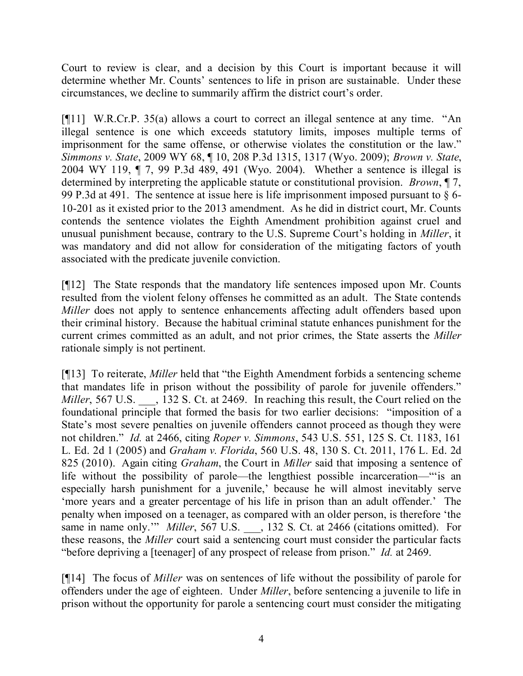Court to review is clear, and a decision by this Court is important because it will determine whether Mr. Counts' sentences to life in prison are sustainable. Under these circumstances, we decline to summarily affirm the district court's order.

[¶11] W.R.Cr.P. 35(a) allows a court to correct an illegal sentence at any time. "An illegal sentence is one which exceeds statutory limits, imposes multiple terms of imprisonment for the same offense, or otherwise violates the constitution or the law." *Simmons v. State*, 2009 WY 68, ¶ 10, 208 P.3d 1315, 1317 (Wyo. 2009); *Brown v. State*, 2004 WY 119, ¶ 7, 99 P.3d 489, 491 (Wyo. 2004). Whether a sentence is illegal is determined by interpreting the applicable statute or constitutional provision. *Brown*, ¶ 7, 99 P.3d at 491. The sentence at issue here is life imprisonment imposed pursuant to § 6- 10-201 as it existed prior to the 2013 amendment. As he did in district court, Mr. Counts contends the sentence violates the Eighth Amendment prohibition against cruel and unusual punishment because, contrary to the U.S. Supreme Court's holding in *Miller*, it was mandatory and did not allow for consideration of the mitigating factors of youth associated with the predicate juvenile conviction.

[¶12] The State responds that the mandatory life sentences imposed upon Mr. Counts resulted from the violent felony offenses he committed as an adult. The State contends *Miller* does not apply to sentence enhancements affecting adult offenders based upon their criminal history. Because the habitual criminal statute enhances punishment for the current crimes committed as an adult, and not prior crimes, the State asserts the *Miller* rationale simply is not pertinent.

[¶13] To reiterate, *Miller* held that "the Eighth Amendment forbids a sentencing scheme that mandates life in prison without the possibility of parole for juvenile offenders." *Miller*, 567 U.S.  $\qquad$ , 132 S. Ct. at 2469. In reaching this result, the Court relied on the foundational principle that formed the basis for two earlier decisions: "imposition of a State's most severe penalties on juvenile offenders cannot proceed as though they were not children." *Id.* at 2466, citing *Roper v. Simmons*, 543 U.S. 551, 125 S. Ct. 1183, 161 L. Ed. 2d 1 (2005) and *Graham v. Florida*, 560 U.S. 48, 130 S. Ct. 2011, 176 L. Ed. 2d 825 (2010). Again citing *Graham*, the Court in *Miller* said that imposing a sentence of life without the possibility of parole—the lengthiest possible incarceration—"'is an especially harsh punishment for a juvenile,' because he will almost inevitably serve 'more years and a greater percentage of his life in prison than an adult offender.' The penalty when imposed on a teenager, as compared with an older person, is therefore 'the same in name only." *Miller*, 567 U.S. \_\_, 132 S. Ct. at 2466 (citations omitted). For these reasons, the *Miller* court said a sentencing court must consider the particular facts "before depriving a [teenager] of any prospect of release from prison." *Id.* at 2469.

[¶14] The focus of *Miller* was on sentences of life without the possibility of parole for offenders under the age of eighteen. Under *Miller*, before sentencing a juvenile to life in prison without the opportunity for parole a sentencing court must consider the mitigating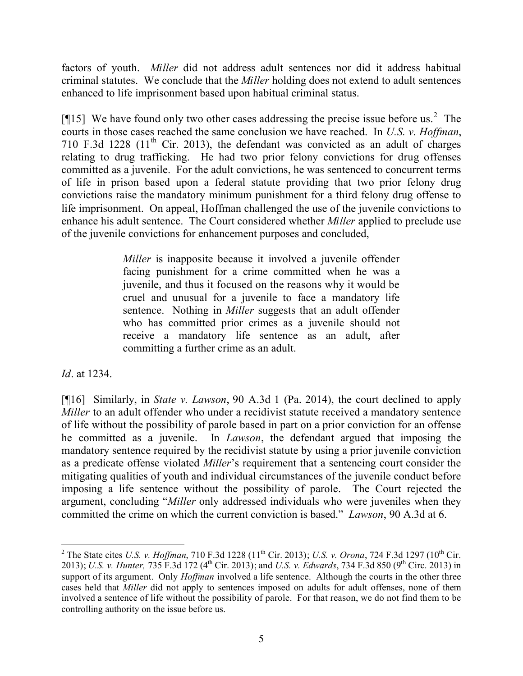factors of youth. *Miller* did not address adult sentences nor did it address habitual criminal statutes. We conclude that the *Miller* holding does not extend to adult sentences enhanced to life imprisonment based upon habitual criminal status.

[ $[15]$  We have found only two other cases addressing the precise issue before us.<sup>2</sup> The courts in those cases reached the same conclusion we have reached. In *U.S. v. Hoffman*, 710 F.3d 1228  $(11<sup>th</sup>$  Cir. 2013), the defendant was convicted as an adult of charges relating to drug trafficking. He had two prior felony convictions for drug offenses committed as a juvenile. For the adult convictions, he was sentenced to concurrent terms of life in prison based upon a federal statute providing that two prior felony drug convictions raise the mandatory minimum punishment for a third felony drug offense to life imprisonment. On appeal, Hoffman challenged the use of the juvenile convictions to enhance his adult sentence. The Court considered whether *Miller* applied to preclude use of the juvenile convictions for enhancement purposes and concluded,

> *Miller* is inapposite because it involved a juvenile offender facing punishment for a crime committed when he was a juvenile, and thus it focused on the reasons why it would be cruel and unusual for a juvenile to face a mandatory life sentence. Nothing in *Miller* suggests that an adult offender who has committed prior crimes as a juvenile should not receive a mandatory life sentence as an adult, after committing a further crime as an adult.

*Id*. at 1234.

 $\overline{a}$ 

[¶16] Similarly, in *State v. Lawson*, 90 A.3d 1 (Pa. 2014), the court declined to apply *Miller* to an adult offender who under a recidivist statute received a mandatory sentence of life without the possibility of parole based in part on a prior conviction for an offense he committed as a juvenile. In *Lawson*, the defendant argued that imposing the mandatory sentence required by the recidivist statute by using a prior juvenile conviction as a predicate offense violated *Miller*'s requirement that a sentencing court consider the mitigating qualities of youth and individual circumstances of the juvenile conduct before imposing a life sentence without the possibility of parole. The Court rejected the argument, concluding "*Miller* only addressed individuals who were juveniles when they committed the crime on which the current conviction is based." *Lawson*, 90 A.3d at 6.

<sup>&</sup>lt;sup>2</sup> The State cites *U.S. v. Hoffman*, 710 F.3d 1228 (11<sup>th</sup> Cir. 2013); *U.S. v. Orona*, 724 F.3d 1297 (10<sup>th</sup> Cir. 2013); *U.S. v. Hunter,* 735 F.3d 172 (4th Cir. 2013); and *U.S. v. Edwards*, 734 F.3d 850 (9th Circ. 2013) in support of its argument. Only *Hoffman* involved a life sentence. Although the courts in the other three cases held that *Miller* did not apply to sentences imposed on adults for adult offenses, none of them involved a sentence of life without the possibility of parole. For that reason, we do not find them to be controlling authority on the issue before us.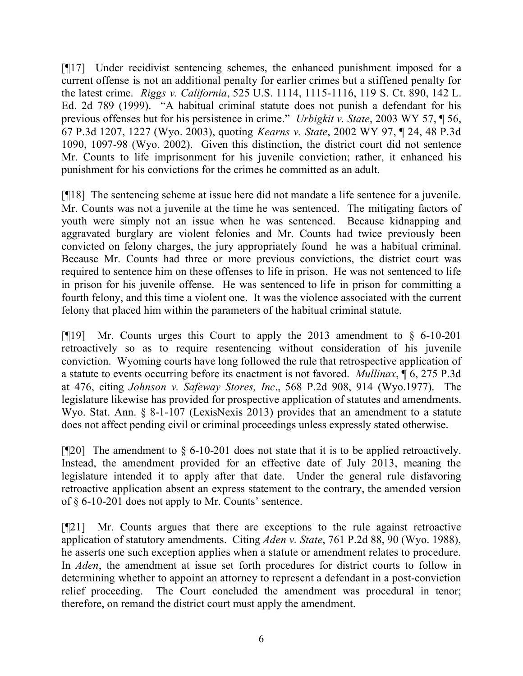[¶17] Under recidivist sentencing schemes, the enhanced punishment imposed for a current offense is not an additional penalty for earlier crimes but a stiffened penalty for the latest crime. *Riggs v. California*, 525 U.S. 1114, 1115-1116, 119 S. Ct. 890, 142 L. Ed. 2d 789 (1999). "A habitual criminal statute does not punish a defendant for his previous offenses but for his persistence in crime." *Urbigkit v. State*, 2003 WY 57, ¶ 56, 67 P.3d 1207, 1227 (Wyo. 2003), quoting *Kearns v. State*, 2002 WY 97, ¶ 24, 48 P.3d 1090, 1097-98 (Wyo. 2002). Given this distinction, the district court did not sentence Mr. Counts to life imprisonment for his juvenile conviction; rather, it enhanced his punishment for his convictions for the crimes he committed as an adult.

[¶18] The sentencing scheme at issue here did not mandate a life sentence for a juvenile. Mr. Counts was not a juvenile at the time he was sentenced. The mitigating factors of youth were simply not an issue when he was sentenced. Because kidnapping and aggravated burglary are violent felonies and Mr. Counts had twice previously been convicted on felony charges, the jury appropriately found he was a habitual criminal. Because Mr. Counts had three or more previous convictions, the district court was required to sentence him on these offenses to life in prison. He was not sentenced to life in prison for his juvenile offense. He was sentenced to life in prison for committing a fourth felony, and this time a violent one. It was the violence associated with the current felony that placed him within the parameters of the habitual criminal statute.

[¶19] Mr. Counts urges this Court to apply the 2013 amendment to § 6-10-201 retroactively so as to require resentencing without consideration of his juvenile conviction. Wyoming courts have long followed the rule that retrospective application of a statute to events occurring before its enactment is not favored. *Mullinax*, ¶ 6, 275 P.3d at 476, citing *Johnson v. Safeway Stores, Inc*., 568 P.2d 908, 914 (Wyo.1977). The legislature likewise has provided for prospective application of statutes and amendments. Wyo. Stat. Ann. § 8-1-107 (LexisNexis 2013) provides that an amendment to a statute does not affect pending civil or criminal proceedings unless expressly stated otherwise.

[ $[$ [20] The amendment to  $\S$  6-10-201 does not state that it is to be applied retroactively. Instead, the amendment provided for an effective date of July 2013, meaning the legislature intended it to apply after that date. Under the general rule disfavoring retroactive application absent an express statement to the contrary, the amended version of § 6-10-201 does not apply to Mr. Counts' sentence.

[¶21] Mr. Counts argues that there are exceptions to the rule against retroactive application of statutory amendments. Citing *Aden v. State*, 761 P.2d 88, 90 (Wyo. 1988), he asserts one such exception applies when a statute or amendment relates to procedure. In *Aden*, the amendment at issue set forth procedures for district courts to follow in determining whether to appoint an attorney to represent a defendant in a post-conviction relief proceeding. The Court concluded the amendment was procedural in tenor; therefore, on remand the district court must apply the amendment.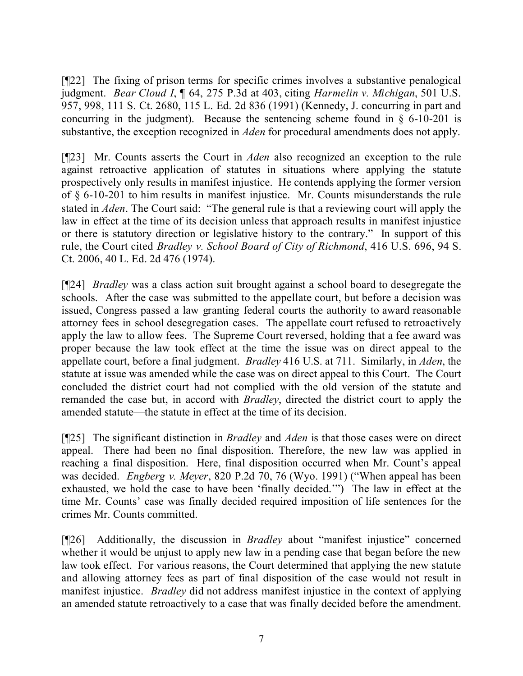[¶22] The fixing of prison terms for specific crimes involves a substantive penalogical judgment. *Bear Cloud I*, ¶ 64, 275 P.3d at 403, citing *Harmelin v. Michigan*, 501 U.S. 957, 998, 111 S. Ct. 2680, 115 L. Ed. 2d 836 (1991) (Kennedy, J. concurring in part and concurring in the judgment). Because the sentencing scheme found in  $\S$  6-10-201 is substantive, the exception recognized in *Aden* for procedural amendments does not apply.

[¶23] Mr. Counts asserts the Court in *Aden* also recognized an exception to the rule against retroactive application of statutes in situations where applying the statute prospectively only results in manifest injustice. He contends applying the former version of § 6-10-201 to him results in manifest injustice. Mr. Counts misunderstands the rule stated in *Aden*. The Court said: "The general rule is that a reviewing court will apply the law in effect at the time of its decision unless that approach results in manifest injustice or there is statutory direction or legislative history to the contrary." In support of this rule, the Court cited *Bradley v. School Board of City of Richmond*, 416 U.S. 696, 94 S. Ct. 2006, 40 L. Ed. 2d 476 (1974).

[¶24] *Bradley* was a class action suit brought against a school board to desegregate the schools. After the case was submitted to the appellate court, but before a decision was issued, Congress passed a law granting federal courts the authority to award reasonable attorney fees in school desegregation cases. The appellate court refused to retroactively apply the law to allow fees. The Supreme Court reversed, holding that a fee award was proper because the law took effect at the time the issue was on direct appeal to the appellate court, before a final judgment. *Bradley* 416 U.S. at 711. Similarly, in *Aden*, the statute at issue was amended while the case was on direct appeal to this Court. The Court concluded the district court had not complied with the old version of the statute and remanded the case but, in accord with *Bradley*, directed the district court to apply the amended statute—the statute in effect at the time of its decision.

[¶25] The significant distinction in *Bradley* and *Aden* is that those cases were on direct appeal. There had been no final disposition. Therefore, the new law was applied in reaching a final disposition. Here, final disposition occurred when Mr. Count's appeal was decided. *Engberg v. Meyer*, 820 P.2d 70, 76 (Wyo. 1991) ("When appeal has been exhausted, we hold the case to have been 'finally decided.'") The law in effect at the time Mr. Counts' case was finally decided required imposition of life sentences for the crimes Mr. Counts committed.

[¶26] Additionally, the discussion in *Bradley* about "manifest injustice" concerned whether it would be unjust to apply new law in a pending case that began before the new law took effect. For various reasons, the Court determined that applying the new statute and allowing attorney fees as part of final disposition of the case would not result in manifest injustice. *Bradley* did not address manifest injustice in the context of applying an amended statute retroactively to a case that was finally decided before the amendment.